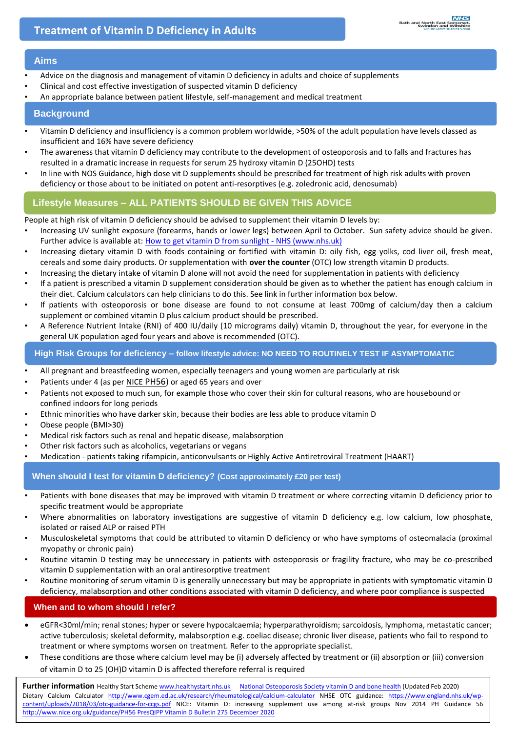### **Aims**

- Advice on the diagnosis and management of vitamin D deficiency in adults and choice of supplements
- Clinical and cost effective investigation of suspected vitamin D deficiency
- An appropriate balance between patient lifestyle, self-management and medical treatment

#### **Background**

- Vitamin D deficiency and insufficiency is a common problem worldwide, >50% of the adult population have levels classed as insufficient and 16% have severe deficiency
- The awareness that vitamin D deficiency may contribute to the development of osteoporosis and to falls and fractures has resulted in a dramatic increase in requests for serum 25 hydroxy vitamin D (25OHD) tests
- In line with NOS Guidance, high dose vit D supplements should be prescribed for treatment of high risk adults with proven deficiency or those about to be initiated on potent anti-resorptives (e.g. zoledronic acid, denosumab)

## **Lifestyle Measures – ALL PATIENTS SHOULD BE GIVEN THIS ADVICE**

People at high risk of vitamin D deficiency should be advised to supplement their vitamin D levels by:

- Increasing UV sunlight exposure (forearms, hands or lower legs) between April to October. Sun safety advice should be given. Further advice is available at: [How to get vitamin D from sunlight -](https://www.nhs.uk/live-well/healthy-body/how-to-get-vitamin-d-from-sunlight/) NHS (www.nhs.uk)
- Increasing dietary vitamin D with foods containing or fortified with vitamin D: oily fish, egg yolks, cod liver oil, fresh meat, cereals and some dairy products. Or supplementation with **over the counter** (OTC) low strength vitamin D products.
- Increasing the dietary intake of vitamin D alone will not avoid the need for supplementation in patients with deficiency
- If a patient is prescribed a vitamin D supplement consideration should be given as to whether the patient has enough calcium in their diet. Calcium calculators can help clinicians to do this. See link in further information box below.
- If patients with osteoporosis or bone disease are found to not consume at least 700mg of calcium/day then a calcium supplement or combined vitamin D plus calcium product should be prescribed.
- A Reference Nutrient Intake (RNI) of 400 IU/daily (10 micrograms daily) vitamin D, throughout the year, for everyone in the general UK population aged four years and above is recommended (OTC).

#### **High Risk Groups for deficiency – follow lifestyle advice: NO NEED TO ROUTINELY TEST IF ASYMPTOMATIC**

- All pregnant and breastfeeding women, especially teenagers and young women are particularly at risk
- Patients under 4 (as per NICE [PH56\)](https://www.nice.org.uk/guidance/ph56/chapter/1-Recommendations#recommendation-1-increase-access-to-vitamin-d-supplements) or aged 65 years and over
- Patients not exposed to much sun, for example those who cover their skin for cultural reasons, who are housebound or confined indoors for long periods
- Ethnic minorities who have darker skin, because their bodies are less able to produce vitamin D
- Obese people (BMI>30)
- Medical risk factors such as renal and hepatic disease, malabsorption
- Other risk factors such as alcoholics, vegetarians or vegans
- Medication patients taking rifampicin, anticonvulsants or Highly Active Antiretroviral Treatment (HAART)

**When should I test for vitamin D deficiency? (Cost approximately £20 per test)** 

- Patients with bone diseases that may be improved with vitamin D treatment or where correcting vitamin D deficiency prior to specific treatment would be appropriate
- Where abnormalities on laboratory investigations are suggestive of vitamin D deficiency e.g. low calcium, low phosphate, isolated or raised ALP or raised PTH
- Musculoskeletal symptoms that could be attributed to vitamin D deficiency or who have symptoms of osteomalacia (proximal myopathy or chronic pain)
- Routine vitamin D testing may be unnecessary in patients with osteoporosis or fragility fracture, who may be co-prescribed vitamin D supplementation with an oral antiresorptive treatment
- Routine monitoring of serum vitamin D is generally unnecessary but may be appropriate in patients with symptomatic vitamin D deficiency, malabsorption and other conditions associated with vitamin D deficiency, and where poor compliance is suspected

## **When and to whom should I refer?**

- eGFR<30ml/min; renal stones; hyper or severe hypocalcaemia; hyperparathyroidism; sarcoidosis, lymphoma, metastatic cancer; active tuberculosis; skeletal deformity, malabsorption e.g. coeliac disease; chronic liver disease, patients who fail to respond to treatment or where symptoms worsen on treatment. Refer to the appropriate specialist.
- These conditions are those where calcium level may be (i) adversely affected by treatment or (ii) absorption or (iii) conversion of vitamin D to 25 (OH)D vitamin D is affected therefore referral is required

[content/uploads/2018/03/otc-guidance-for-ccgs.pdf](https://www.england.nhs.uk/wp-content/uploads/2018/03/otc-guidance-for-ccgs.pdf) NICE: Vitamin D: increasing supplement use among at-risk groups Nov 2014 PH Guidance 56 <http://www.nice.org.uk/guidance/PH56> PresQIPP Vitamin D Bulletin 275 December 2020 Further information Healthy Start Schem[e www.healthystart.nhs.uk](http://www.healthystart.nhs.uk/) National Osteoporosis [Society vitamin D and bone health](https://theros.org.uk/media/ef2ideu2/ros-vitamin-d-and-bone-health-in-adults-february-2020.pdf) (Updated Feb 2020) Dietary Calcium Calculator <http://www.cgem.ed.ac.uk/research/rheumatological/calcium-calculator> NHSE OTC guidance: [https://www.england.nhs.uk/wp-](https://www.england.nhs.uk/wp-content/uploads/2018/03/otc-guidance-for-ccgs.pdf)